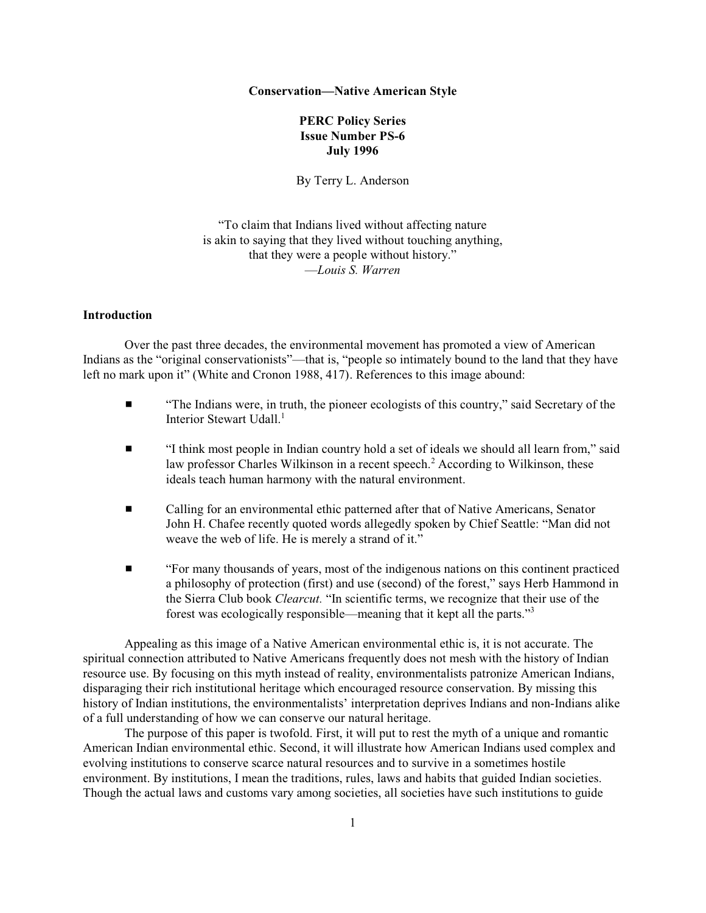#### **Conservation—Native American Style**

# **PERC Policy Series Issue Number PS-6 July 1996**

By Terry L. Anderson

"To claim that Indians lived without affecting nature is akin to saying that they lived without touching anything, that they were a people without history." —*Louis S. Warren*

### **Introduction**

Over the past three decades, the environmental movement has promoted a view of American Indians as the "original conservationists"—that is, "people so intimately bound to the land that they have left no mark upon it" (White and Cronon 1988, 417). References to this image abound:

- $\blacksquare$  "The Indians were, in truth, the pioneer ecologists of this country," said Secretary of the Interior Stewart Udall. 1
- $\blacksquare$  "I think most people in Indian country hold a set of ideals we should all learn from," said law professor Charles Wilkinson in a recent speech.<sup>2</sup> According to Wilkinson, these ideals teach human harmony with the natural environment.
- **Example 3** Calling for an environmental ethic patterned after that of Native Americans, Senator John H. Chafee recently quoted words allegedly spoken by Chief Seattle: "Man did not weave the web of life. He is merely a strand of it."
- # "For many thousands of years, most of the indigenous nations on this continent practiced a philosophy of protection (first) and use (second) of the forest," says Herb Hammond in the Sierra Club book *Clearcut.* "In scientific terms, we recognize that their use of the forest was ecologically responsible—meaning that it kept all the parts."<sup>3</sup>

Appealing as this image of a Native American environmental ethic is, it is not accurate. The spiritual connection attributed to Native Americans frequently does not mesh with the history of Indian resource use. By focusing on this myth instead of reality, environmentalists patronize American Indians, disparaging their rich institutional heritage which encouraged resource conservation. By missing this history of Indian institutions, the environmentalists' interpretation deprives Indians and non-Indians alike of a full understanding of how we can conserve our natural heritage.

The purpose of this paper is twofold. First, it will put to rest the myth of a unique and romantic American Indian environmental ethic. Second, it will illustrate how American Indians used complex and evolving institutions to conserve scarce natural resources and to survive in a sometimes hostile environment. By institutions, I mean the traditions, rules, laws and habits that guided Indian societies. Though the actual laws and customs vary among societies, all societies have such institutions to guide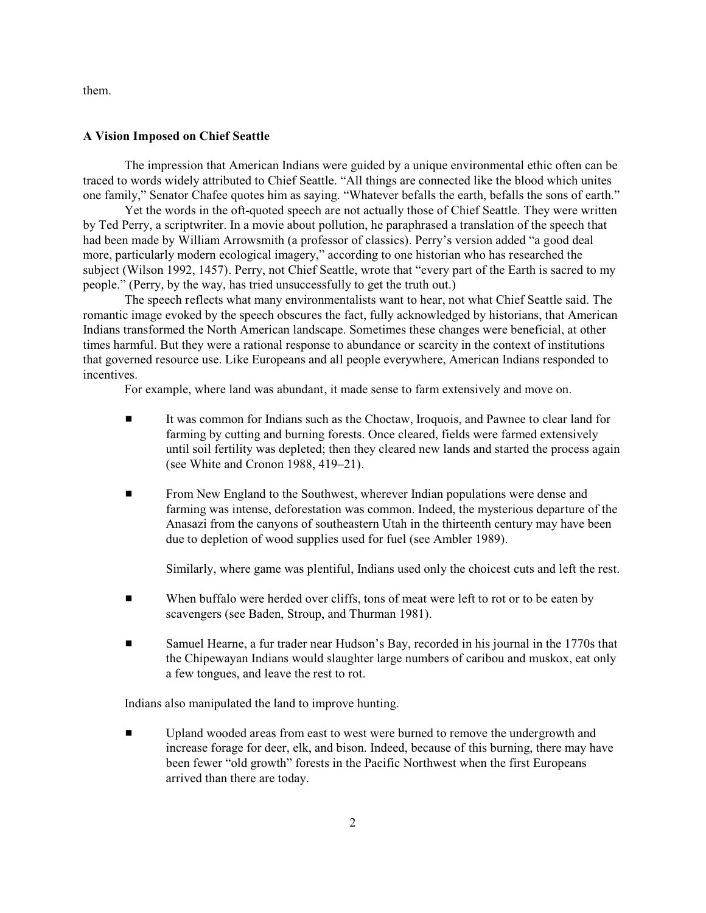them.

# **A Vision Imposed on Chief Seattle**

The impression that American Indians were guided by a unique environmental ethic often can be traced to words widely attributed to Chief Seattle. "All things are connected like the blood which unites one family," Senator Chafee quotes him as saying. "Whatever befalls the earth, befalls the sons of earth."

Yet the words in the oft-quoted speech are not actually those of Chief Seattle. They were written by Ted Perry, a scriptwriter. In a movie about pollution, he paraphrased a translation of the speech that had been made by William Arrowsmith (a professor of classics). Perry's version added "a good deal more, particularly modern ecological imagery," according to one historian who has researched the subject (Wilson 1992, 1457). Perry, not Chief Seattle, wrote that "every part of the Earth is sacred to my people." (Perry, by the way, has tried unsuccessfully to get the truth out.)

The speech reflects what many environmentalists want to hear, not what Chief Seattle said. The romantic image evoked by the speech obscures the fact, fully acknowledged by historians, that American Indians transformed the North American landscape. Sometimes these changes were beneficial, at other times harmful. But they were a rational response to abundance or scarcity in the context of institutions that governed resource use. Like Europeans and all people everywhere, American Indians responded to incentives.

For example, where land was abundant, it made sense to farm extensively and move on.

- $\blacksquare$  It was common for Indians such as the Choctaw, Iroquois, and Pawnee to clear land for farming by cutting and burning forests. Once cleared, fields were farmed extensively until soil fertility was depleted; then they cleared new lands and started the process again (see White and Cronon 1988, 419–21).
- From New England to the Southwest, wherever Indian populations were dense and farming was intense, deforestation was common. Indeed, the mysterious departure of the Anasazi from the canyons of southeastern Utah in the thirteenth century may have been due to depletion of wood supplies used for fuel (see Ambler 1989).

Similarly, where game was plentiful, Indians used only the choicest cuts and left the rest.

- **EXECUTE:** When buffalo were herded over cliffs, tons of meat were left to rot or to be eaten by scavengers (see Baden, Stroup, and Thurman 1981).
- **Examuel Hearne, a fur trader near Hudson's Bay, recorded in his journal in the 1770s that** the Chipewayan Indians would slaughter large numbers of caribou and muskox, eat only a few tongues, and leave the rest to rot.

Indians also manipulated the land to improve hunting.

 $\blacksquare$  Upland wooded areas from east to west were burned to remove the undergrowth and increase forage for deer, elk, and bison. Indeed, because of this burning, there may have been fewer "old growth" forests in the Pacific Northwest when the first Europeans arrived than there are today.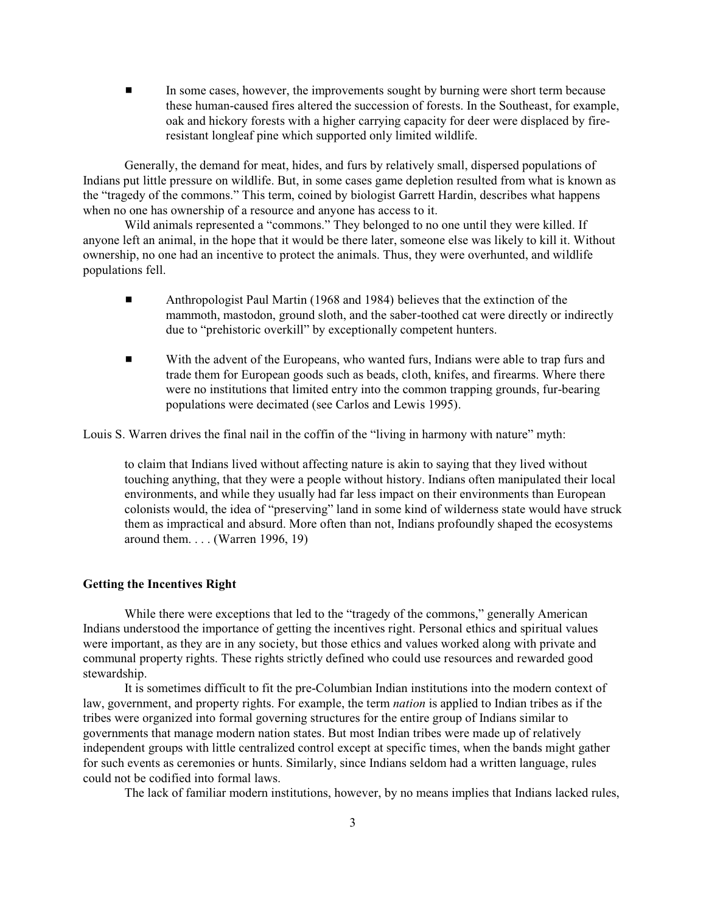In some cases, however, the improvements sought by burning were short term because these human-caused fires altered the succession of forests. In the Southeast, for example, oak and hickory forests with a higher carrying capacity for deer were displaced by fireresistant longleaf pine which supported only limited wildlife.

Generally, the demand for meat, hides, and furs by relatively small, dispersed populations of Indians put little pressure on wildlife. But, in some cases game depletion resulted from what is known as the "tragedy of the commons." This term, coined by biologist Garrett Hardin, describes what happens when no one has ownership of a resource and anyone has access to it.

Wild animals represented a "commons." They belonged to no one until they were killed. If anyone left an animal, in the hope that it would be there later, someone else was likely to kill it. Without ownership, no one had an incentive to protect the animals. Thus, they were overhunted, and wildlife populations fell.

- **Exercise 1** Anthropologist Paul Martin (1968 and 1984) believes that the extinction of the mammoth, mastodon, ground sloth, and the saber-toothed cat were directly or indirectly due to "prehistoric overkill" by exceptionally competent hunters.
- $\blacksquare$  With the advent of the Europeans, who wanted furs, Indians were able to trap furs and trade them for European goods such as beads, cloth, knifes, and firearms. Where there were no institutions that limited entry into the common trapping grounds, fur-bearing populations were decimated (see Carlos and Lewis 1995).

Louis S. Warren drives the final nail in the coffin of the "living in harmony with nature" myth:

to claim that Indians lived without affecting nature is akin to saying that they lived without touching anything, that they were a people without history. Indians often manipulated their local environments, and while they usually had far less impact on their environments than European colonists would, the idea of "preserving" land in some kind of wilderness state would have struck them as impractical and absurd. More often than not, Indians profoundly shaped the ecosystems around them. . . . (Warren 1996, 19)

### **Getting the Incentives Right**

While there were exceptions that led to the "tragedy of the commons," generally American Indians understood the importance of getting the incentives right. Personal ethics and spiritual values were important, as they are in any society, but those ethics and values worked along with private and communal property rights. These rights strictly defined who could use resources and rewarded good stewardship.

It is sometimes difficult to fit the pre-Columbian Indian institutions into the modern context of law, government, and property rights. For example, the term *nation* is applied to Indian tribes as if the tribes were organized into formal governing structures for the entire group of Indians similar to governments that manage modern nation states. But most Indian tribes were made up of relatively independent groups with little centralized control except at specific times, when the bands might gather for such events as ceremonies or hunts. Similarly, since Indians seldom had a written language, rules could not be codified into formal laws.

The lack of familiar modern institutions, however, by no means implies that Indians lacked rules,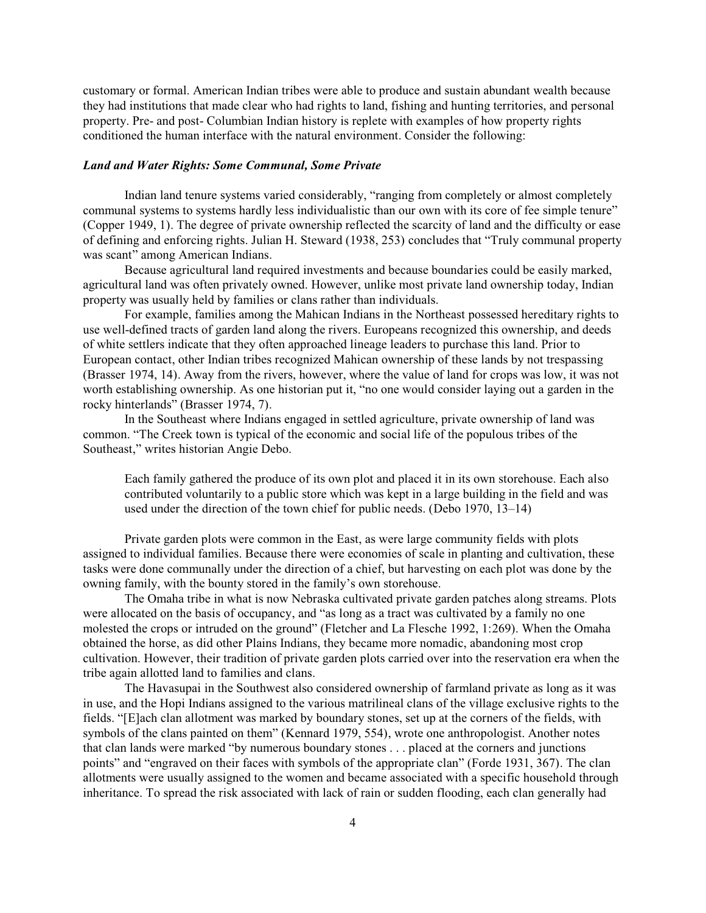customary or formal. American Indian tribes were able to produce and sustain abundant wealth because they had institutions that made clear who had rights to land, fishing and hunting territories, and personal property. Pre- and post- Columbian Indian history is replete with examples of how property rights conditioned the human interface with the natural environment. Consider the following:

# *Land and Water Rights: Some Communal, Some Private*

Indian land tenure systems varied considerably, "ranging from completely or almost completely communal systems to systems hardly less individualistic than our own with its core of fee simple tenure" (Copper 1949, 1). The degree of private ownership reflected the scarcity of land and the difficulty or ease of defining and enforcing rights. Julian H. Steward (1938, 253) concludes that "Truly communal property was scant" among American Indians.

Because agricultural land required investments and because boundaries could be easily marked, agricultural land was often privately owned. However, unlike most private land ownership today, Indian property was usually held by families or clans rather than individuals.

For example, families among the Mahican Indians in the Northeast possessed hereditary rights to use well-defined tracts of garden land along the rivers. Europeans recognized this ownership, and deeds of white settlers indicate that they often approached lineage leaders to purchase this land. Prior to European contact, other Indian tribes recognized Mahican ownership of these lands by not trespassing (Brasser 1974, 14). Away from the rivers, however, where the value of land for crops was low, it was not worth establishing ownership. As one historian put it, "no one would consider laying out a garden in the rocky hinterlands" (Brasser 1974, 7).

In the Southeast where Indians engaged in settled agriculture, private ownership of land was common. "The Creek town is typical of the economic and social life of the populous tribes of the Southeast," writes historian Angie Debo.

Each family gathered the produce of its own plot and placed it in its own storehouse. Each also contributed voluntarily to a public store which was kept in a large building in the field and was used under the direction of the town chief for public needs. (Debo 1970, 13–14)

Private garden plots were common in the East, as were large community fields with plots assigned to individual families. Because there were economies of scale in planting and cultivation, these tasks were done communally under the direction of a chief, but harvesting on each plot was done by the owning family, with the bounty stored in the family's own storehouse.

The Omaha tribe in what is now Nebraska cultivated private garden patches along streams. Plots were allocated on the basis of occupancy, and "as long as a tract was cultivated by a family no one molested the crops or intruded on the ground" (Fletcher and La Flesche 1992, 1:269). When the Omaha obtained the horse, as did other Plains Indians, they became more nomadic, abandoning most crop cultivation. However, their tradition of private garden plots carried over into the reservation era when the tribe again allotted land to families and clans.

The Havasupai in the Southwest also considered ownership of farmland private as long as it was in use, and the Hopi Indians assigned to the various matrilineal clans of the village exclusive rights to the fields. "[E]ach clan allotment was marked by boundary stones, set up at the corners of the fields, with symbols of the clans painted on them" (Kennard 1979, 554), wrote one anthropologist. Another notes that clan lands were marked "by numerous boundary stones . . . placed at the corners and junctions points" and "engraved on their faces with symbols of the appropriate clan" (Forde 1931, 367). The clan allotments were usually assigned to the women and became associated with a specific household through inheritance. To spread the risk associated with lack of rain or sudden flooding, each clan generally had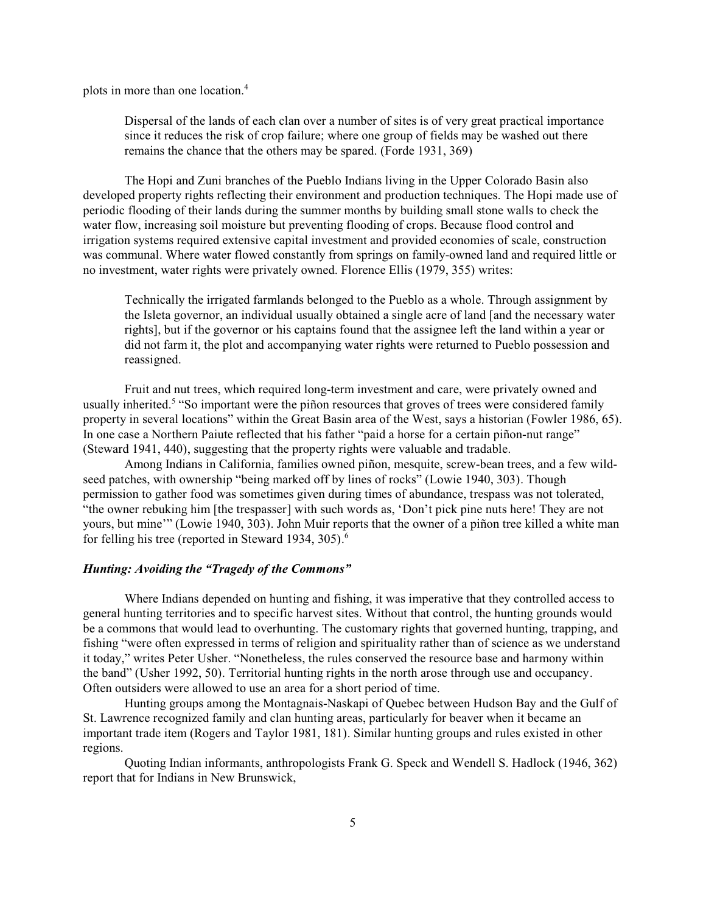plots in more than one location.<sup>4</sup>

Dispersal of the lands of each clan over a number of sites is of very great practical importance since it reduces the risk of crop failure; where one group of fields may be washed out there remains the chance that the others may be spared. (Forde 1931, 369)

The Hopi and Zuni branches of the Pueblo Indians living in the Upper Colorado Basin also developed property rights reflecting their environment and production techniques. The Hopi made use of periodic flooding of their lands during the summer months by building small stone walls to check the water flow, increasing soil moisture but preventing flooding of crops. Because flood control and irrigation systems required extensive capital investment and provided economies of scale, construction was communal. Where water flowed constantly from springs on family-owned land and required little or no investment, water rights were privately owned. Florence Ellis (1979, 355) writes:

Technically the irrigated farmlands belonged to the Pueblo as a whole. Through assignment by the Isleta governor, an individual usually obtained a single acre of land [and the necessary water rights], but if the governor or his captains found that the assignee left the land within a year or did not farm it, the plot and accompanying water rights were returned to Pueblo possession and reassigned.

Fruit and nut trees, which required long-term investment and care, were privately owned and usually inherited.<sup>5</sup> "So important were the piñon resources that groves of trees were considered family property in several locations" within the Great Basin area of the West, says a historian (Fowler 1986, 65). In one case a Northern Paiute reflected that his father "paid a horse for a certain piñon-nut range" (Steward 1941, 440), suggesting that the property rights were valuable and tradable.

Among Indians in California, families owned piñon, mesquite, screw-bean trees, and a few wildseed patches, with ownership "being marked off by lines of rocks" (Lowie 1940, 303). Though permission to gather food was sometimes given during times of abundance, trespass was not tolerated, "the owner rebuking him [the trespasser] with such words as, 'Don't pick pine nuts here! They are not yours, but mine'" (Lowie 1940, 303). John Muir reports that the owner of a piñon tree killed a white man for felling his tree (reported in Steward 1934, 305). 6

#### *Hunting: Avoiding the "Tragedy of the Commons"*

Where Indians depended on hunting and fishing, it was imperative that they controlled access to general hunting territories and to specific harvest sites. Without that control, the hunting grounds would be a commons that would lead to overhunting. The customary rights that governed hunting, trapping, and fishing "were often expressed in terms of religion and spirituality rather than of science as we understand it today," writes Peter Usher. "Nonetheless, the rules conserved the resource base and harmony within the band" (Usher 1992, 50). Territorial hunting rights in the north arose through use and occupancy. Often outsiders were allowed to use an area for a short period of time.

Hunting groups among the Montagnais-Naskapi of Quebec between Hudson Bay and the Gulf of St. Lawrence recognized family and clan hunting areas, particularly for beaver when it became an important trade item (Rogers and Taylor 1981, 181). Similar hunting groups and rules existed in other regions.

Quoting Indian informants, anthropologists Frank G. Speck and Wendell S. Hadlock (1946, 362) report that for Indians in New Brunswick,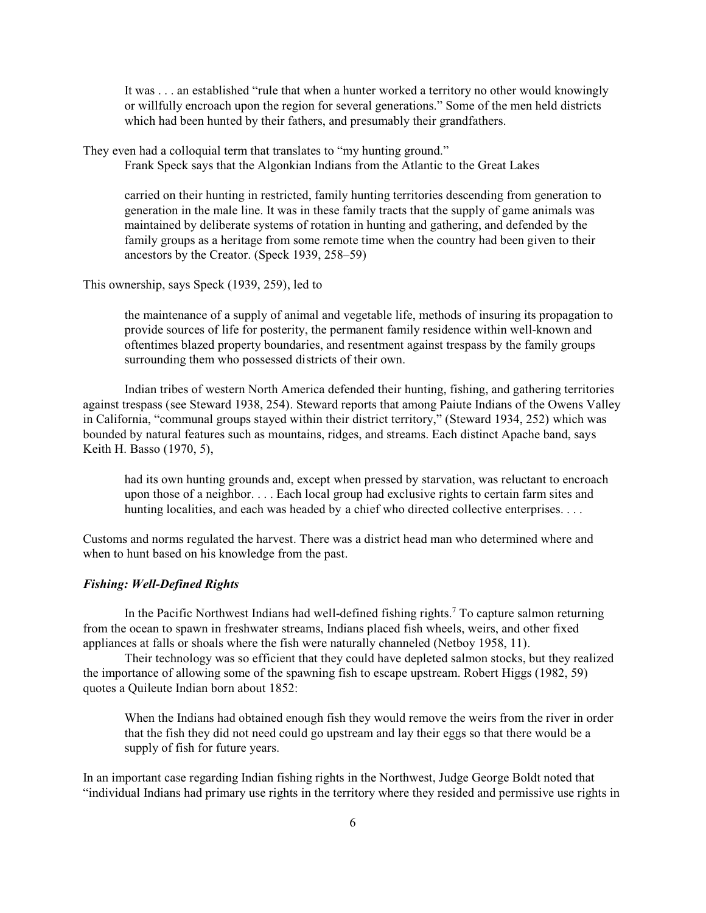It was . . . an established "rule that when a hunter worked a territory no other would knowingly or willfully encroach upon the region for several generations." Some of the men held districts which had been hunted by their fathers, and presumably their grandfathers.

They even had a colloquial term that translates to "my hunting ground." Frank Speck says that the Algonkian Indians from the Atlantic to the Great Lakes

carried on their hunting in restricted, family hunting territories descending from generation to generation in the male line. It was in these family tracts that the supply of game animals was maintained by deliberate systems of rotation in hunting and gathering, and defended by the family groups as a heritage from some remote time when the country had been given to their ancestors by the Creator. (Speck 1939, 258–59)

This ownership, says Speck (1939, 259), led to

the maintenance of a supply of animal and vegetable life, methods of insuring its propagation to provide sources of life for posterity, the permanent family residence within well-known and oftentimes blazed property boundaries, and resentment against trespass by the family groups surrounding them who possessed districts of their own.

Indian tribes of western North America defended their hunting, fishing, and gathering territories against trespass (see Steward 1938, 254). Steward reports that among Paiute Indians of the Owens Valley in California, "communal groups stayed within their district territory," (Steward 1934, 252) which was bounded by natural features such as mountains, ridges, and streams. Each distinct Apache band, says Keith H. Basso (1970, 5),

had its own hunting grounds and, except when pressed by starvation, was reluctant to encroach upon those of a neighbor. . . . Each local group had exclusive rights to certain farm sites and hunting localities, and each was headed by a chief who directed collective enterprises. . . .

Customs and norms regulated the harvest. There was a district head man who determined where and when to hunt based on his knowledge from the past.

### *Fishing: Well-Defined Rights*

In the Pacific Northwest Indians had well-defined fishing rights.<sup>7</sup> To capture salmon returning from the ocean to spawn in freshwater streams, Indians placed fish wheels, weirs, and other fixed appliances at falls or shoals where the fish were naturally channeled (Netboy 1958, 11).

Their technology was so efficient that they could have depleted salmon stocks, but they realized the importance of allowing some of the spawning fish to escape upstream. Robert Higgs (1982, 59) quotes a Quileute Indian born about 1852:

When the Indians had obtained enough fish they would remove the weirs from the river in order that the fish they did not need could go upstream and lay their eggs so that there would be a supply of fish for future years.

In an important case regarding Indian fishing rights in the Northwest, Judge George Boldt noted that "individual Indians had primary use rights in the territory where they resided and permissive use rights in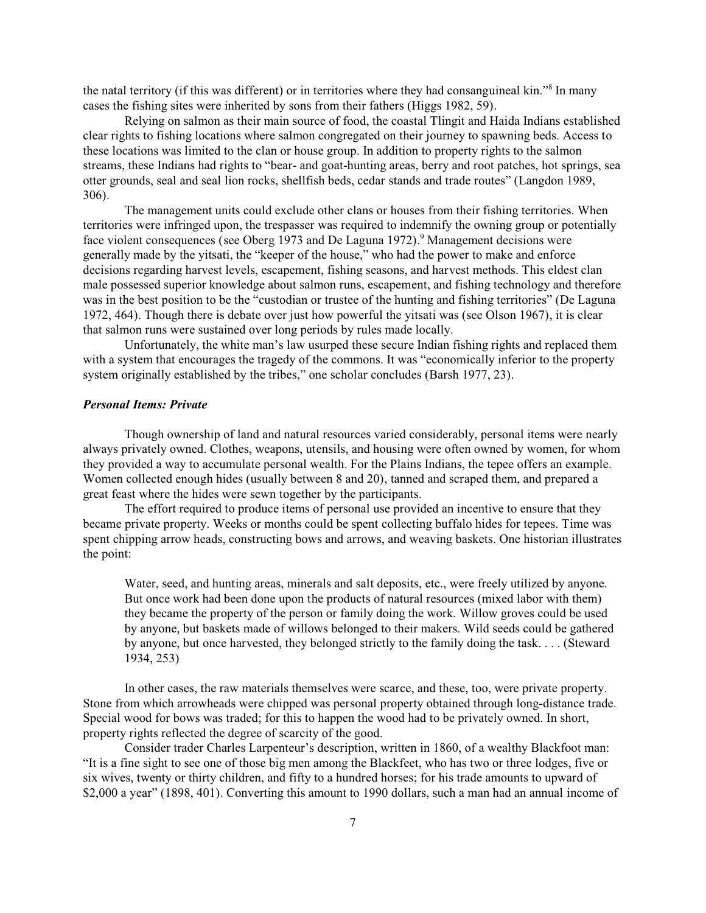the natal territory (if this was different) or in territories where they had consanguineal kin."<sup>8</sup> In many cases the fishing sites were inherited by sons from their fathers (Higgs 1982, 59).

Relying on salmon as their main source of food, the coastal Tlingit and Haida Indians established clear rights to fishing locations where salmon congregated on their journey to spawning beds. Access to these locations was limited to the clan or house group. In addition to property rights to the salmon streams, these Indians had rights to "bear- and goat-hunting areas, berry and root patches, hot springs, sea otter grounds, seal and seal lion rocks, shellfish beds, cedar stands and trade routes" (Langdon 1989, 306).

The management units could exclude other clans or houses from their fishing territories. When territories were infringed upon, the trespasser was required to indemnify the owning group or potentially face violent consequences (see Oberg 1973 and De Laguna 1972).<sup>9</sup> Management decisions were generally made by the yitsati, the "keeper of the house," who had the power to make and enforce decisions regarding harvest levels, escapement, fishing seasons, and harvest methods. This eldest clan male possessed superior knowledge about salmon runs, escapement, and fishing technology and therefore was in the best position to be the "custodian or trustee of the hunting and fishing territories" (De Laguna 1972, 464). Though there is debate over just how powerful the yitsati was (see Olson 1967), it is clear that salmon runs were sustained over long periods by rules made locally.

Unfortunately, the white man's law usurped these secure Indian fishing rights and replaced them with a system that encourages the tragedy of the commons. It was "economically inferior to the property system originally established by the tribes," one scholar concludes (Barsh 1977, 23).

# *Personal Items: Private*

Though ownership of land and natural resources varied considerably, personal items were nearly always privately owned. Clothes, weapons, utensils, and housing were often owned by women, for whom they provided a way to accumulate personal wealth. For the Plains Indians, the tepee offers an example. Women collected enough hides (usually between 8 and 20), tanned and scraped them, and prepared a great feast where the hides were sewn together by the participants.

The effort required to produce items of personal use provided an incentive to ensure that they became private property. Weeks or months could be spent collecting buffalo hides for tepees. Time was spent chipping arrow heads, constructing bows and arrows, and weaving baskets. One historian illustrates the point:

Water, seed, and hunting areas, minerals and salt deposits, etc., were freely utilized by anyone. But once work had been done upon the products of natural resources (mixed labor with them) they became the property of the person or family doing the work. Willow groves could be used by anyone, but baskets made of willows belonged to their makers. Wild seeds could be gathered by anyone, but once harvested, they belonged strictly to the family doing the task. . . . (Steward 1934, 253)

In other cases, the raw materials themselves were scarce, and these, too, were private property. Stone from which arrowheads were chipped was personal property obtained through long-distance trade. Special wood for bows was traded; for this to happen the wood had to be privately owned. In short, property rights reflected the degree of scarcity of the good.

Consider trader Charles Larpenteur's description, written in 1860, of a wealthy Blackfoot man: "It is a fine sight to see one of those big men among the Blackfeet, who has two or three lodges, five or six wives, twenty or thirty children, and fifty to a hundred horses; for his trade amounts to upward of \$2,000 a year" (1898, 401). Converting this amount to 1990 dollars, such a man had an annual income of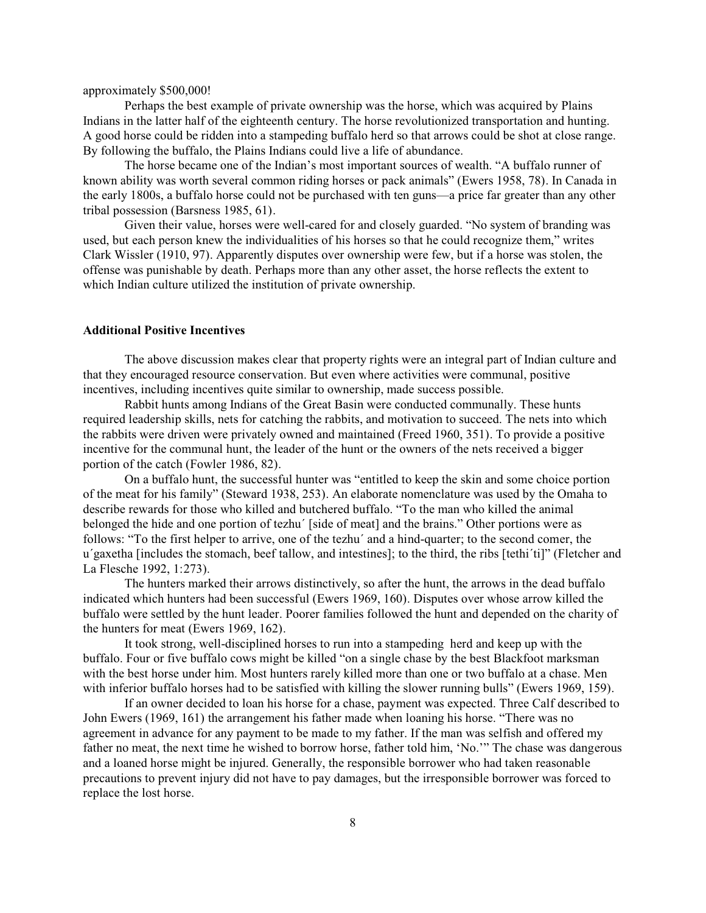approximately \$500,000!

Perhaps the best example of private ownership was the horse, which was acquired by Plains Indians in the latter half of the eighteenth century. The horse revolutionized transportation and hunting. A good horse could be ridden into a stampeding buffalo herd so that arrows could be shot at close range. By following the buffalo, the Plains Indians could live a life of abundance.

The horse became one of the Indian's most important sources of wealth. "A buffalo runner of known ability was worth several common riding horses or pack animals" (Ewers 1958, 78). In Canada in the early 1800s, a buffalo horse could not be purchased with ten guns—a price far greater than any other tribal possession (Barsness 1985, 61).

Given their value, horses were well-cared for and closely guarded. "No system of branding was used, but each person knew the individualities of his horses so that he could recognize them," writes Clark Wissler (1910, 97). Apparently disputes over ownership were few, but if a horse was stolen, the offense was punishable by death. Perhaps more than any other asset, the horse reflects the extent to which Indian culture utilized the institution of private ownership.

# **Additional Positive Incentives**

The above discussion makes clear that property rights were an integral part of Indian culture and that they encouraged resource conservation. But even where activities were communal, positive incentives, including incentives quite similar to ownership, made success possible.

Rabbit hunts among Indians of the Great Basin were conducted communally. These hunts required leadership skills, nets for catching the rabbits, and motivation to succeed. The nets into which the rabbits were driven were privately owned and maintained (Freed 1960, 351). To provide a positive incentive for the communal hunt, the leader of the hunt or the owners of the nets received a bigger portion of the catch (Fowler 1986, 82).

On a buffalo hunt, the successful hunter was "entitled to keep the skin and some choice portion of the meat for his family" (Steward 1938, 253). An elaborate nomenclature was used by the Omaha to describe rewards for those who killed and butchered buffalo. "To the man who killed the animal belonged the hide and one portion of tezhu' [side of meat] and the brains." Other portions were as follows: "To the first helper to arrive, one of the tezhu´ and a hind-quarter; to the second comer, the u´gaxetha [includes the stomach, beef tallow, and intestines]; to the third, the ribs [tethi´ti]" (Fletcher and La Flesche 1992, 1:273).

The hunters marked their arrows distinctively, so after the hunt, the arrows in the dead buffalo indicated which hunters had been successful (Ewers 1969, 160). Disputes over whose arrow killed the buffalo were settled by the hunt leader. Poorer families followed the hunt and depended on the charity of the hunters for meat (Ewers 1969, 162).

It took strong, well-disciplined horses to run into a stampeding herd and keep up with the buffalo. Four or five buffalo cows might be killed "on a single chase by the best Blackfoot marksman with the best horse under him. Most hunters rarely killed more than one or two buffalo at a chase. Men with inferior buffalo horses had to be satisfied with killing the slower running bulls" (Ewers 1969, 159).

If an owner decided to loan his horse for a chase, payment was expected. Three Calf described to John Ewers (1969, 161) the arrangement his father made when loaning his horse. "There was no agreement in advance for any payment to be made to my father. If the man was selfish and offered my father no meat, the next time he wished to borrow horse, father told him, 'No.'" The chase was dangerous and a loaned horse might be injured. Generally, the responsible borrower who had taken reasonable precautions to prevent injury did not have to pay damages, but the irresponsible borrower was forced to replace the lost horse.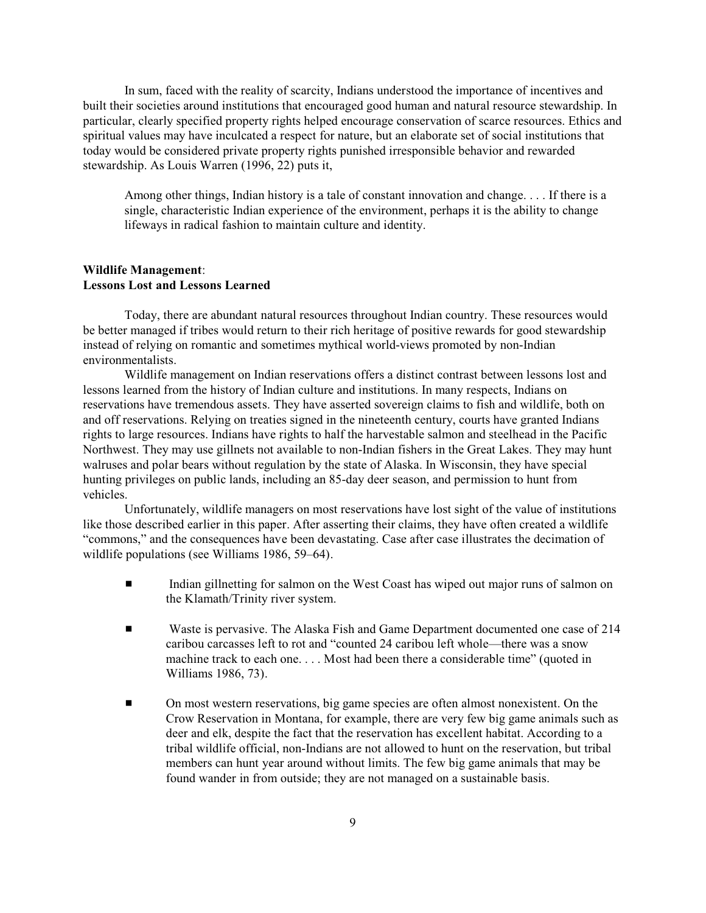In sum, faced with the reality of scarcity, Indians understood the importance of incentives and built their societies around institutions that encouraged good human and natural resource stewardship. In particular, clearly specified property rights helped encourage conservation of scarce resources. Ethics and spiritual values may have inculcated a respect for nature, but an elaborate set of social institutions that today would be considered private property rights punished irresponsible behavior and rewarded stewardship. As Louis Warren (1996, 22) puts it,

Among other things, Indian history is a tale of constant innovation and change. . . . If there is a single, characteristic Indian experience of the environment, perhaps it is the ability to change lifeways in radical fashion to maintain culture and identity.

# **Wildlife Management**: **Lessons Lost and Lessons Learned**

Today, there are abundant natural resources throughout Indian country. These resources would be better managed if tribes would return to their rich heritage of positive rewards for good stewardship instead of relying on romantic and sometimes mythical world-views promoted by non-Indian environmentalists.

Wildlife management on Indian reservations offers a distinct contrast between lessons lost and lessons learned from the history of Indian culture and institutions. In many respects, Indians on reservations have tremendous assets. They have asserted sovereign claims to fish and wildlife, both on and off reservations. Relying on treaties signed in the nineteenth century, courts have granted Indians rights to large resources. Indians have rights to half the harvestable salmon and steelhead in the Pacific Northwest. They may use gillnets not available to non-Indian fishers in the Great Lakes. They may hunt walruses and polar bears without regulation by the state of Alaska. In Wisconsin, they have special hunting privileges on public lands, including an 85-day deer season, and permission to hunt from vehicles.

Unfortunately, wildlife managers on most reservations have lost sight of the value of institutions like those described earlier in this paper. After asserting their claims, they have often created a wildlife "commons," and the consequences have been devastating. Case after case illustrates the decimation of wildlife populations (see Williams 1986, 59–64).

- **Example 1** Indian gillnetting for salmon on the West Coast has wiped out major runs of salmon on the Klamath/Trinity river system.
- **Example 3** Waste is pervasive. The Alaska Fish and Game Department documented one case of 214 caribou carcasses left to rot and "counted 24 caribou left whole—there was a snow machine track to each one. . . . Most had been there a considerable time" (quoted in Williams 1986, 73).
- # On most western reservations, big game species are often almost nonexistent. On the Crow Reservation in Montana, for example, there are very few big game animals such as deer and elk, despite the fact that the reservation has excellent habitat. According to a tribal wildlife official, non-Indians are not allowed to hunt on the reservation, but tribal members can hunt year around without limits. The few big game animals that may be found wander in from outside; they are not managed on a sustainable basis.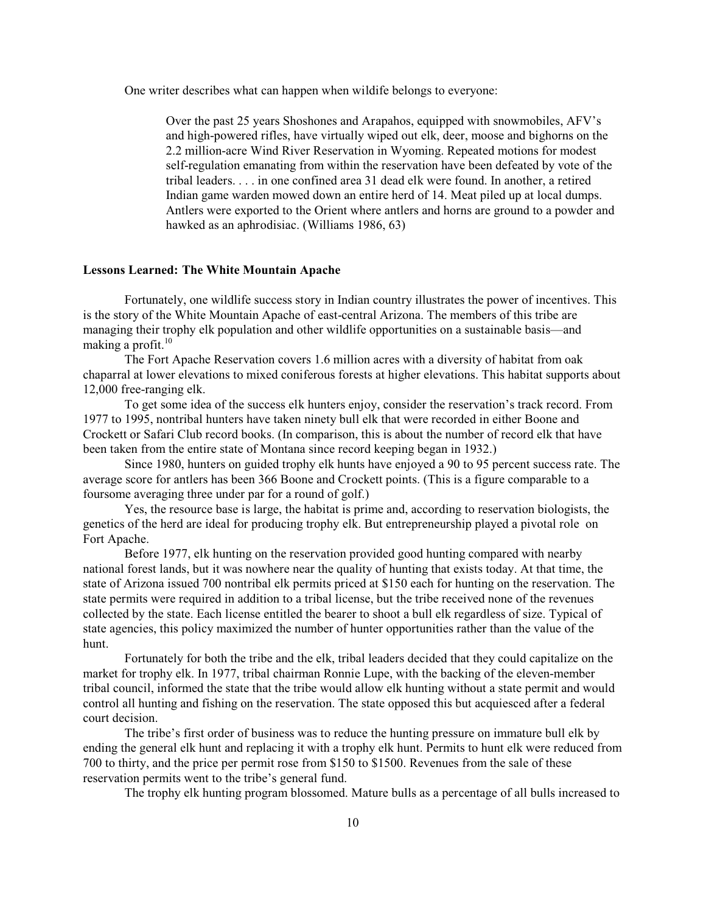One writer describes what can happen when wildife belongs to everyone:

Over the past 25 years Shoshones and Arapahos, equipped with snowmobiles, AFV's and high-powered rifles, have virtually wiped out elk, deer, moose and bighorns on the 2.2 million-acre Wind River Reservation in Wyoming. Repeated motions for modest self-regulation emanating from within the reservation have been defeated by vote of the tribal leaders. . . . in one confined area 31 dead elk were found. In another, a retired Indian game warden mowed down an entire herd of 14. Meat piled up at local dumps. Antlers were exported to the Orient where antlers and horns are ground to a powder and hawked as an aphrodisiac. (Williams 1986, 63)

### **Lessons Learned: The White Mountain Apache**

Fortunately, one wildlife success story in Indian country illustrates the power of incentives. This is the story of the White Mountain Apache of east-central Arizona. The members of this tribe are managing their trophy elk population and other wildlife opportunities on a sustainable basis—and making a profit. 10

The Fort Apache Reservation covers 1.6 million acres with a diversity of habitat from oak chaparral at lower elevations to mixed coniferous forests at higher elevations. This habitat supports about 12,000 free-ranging elk.

To get some idea of the success elk hunters enjoy, consider the reservation's track record. From 1977 to 1995, nontribal hunters have taken ninety bull elk that were recorded in either Boone and Crockett or Safari Club record books. (In comparison, this is about the number of record elk that have been taken from the entire state of Montana since record keeping began in 1932.)

Since 1980, hunters on guided trophy elk hunts have enjoyed a 90 to 95 percent success rate. The average score for antlers has been 366 Boone and Crockett points. (This is a figure comparable to a foursome averaging three under par for a round of golf.)

Yes, the resource base is large, the habitat is prime and, according to reservation biologists, the genetics of the herd are ideal for producing trophy elk. But entrepreneurship played a pivotal role on Fort Apache.

Before 1977, elk hunting on the reservation provided good hunting compared with nearby national forest lands, but it was nowhere near the quality of hunting that exists today. At that time, the state of Arizona issued 700 nontribal elk permits priced at \$150 each for hunting on the reservation. The state permits were required in addition to a tribal license, but the tribe received none of the revenues collected by the state. Each license entitled the bearer to shoot a bull elk regardless of size. Typical of state agencies, this policy maximized the number of hunter opportunities rather than the value of the hunt.

Fortunately for both the tribe and the elk, tribal leaders decided that they could capitalize on the market for trophy elk. In 1977, tribal chairman Ronnie Lupe, with the backing of the eleven-member tribal council, informed the state that the tribe would allow elk hunting without a state permit and would control all hunting and fishing on the reservation. The state opposed this but acquiesced after a federal court decision.

The tribe's first order of business was to reduce the hunting pressure on immature bull elk by ending the general elk hunt and replacing it with a trophy elk hunt. Permits to hunt elk were reduced from 700 to thirty, and the price per permit rose from \$150 to \$1500. Revenues from the sale of these reservation permits went to the tribe's general fund.

The trophy elk hunting program blossomed. Mature bulls as a percentage of all bulls increased to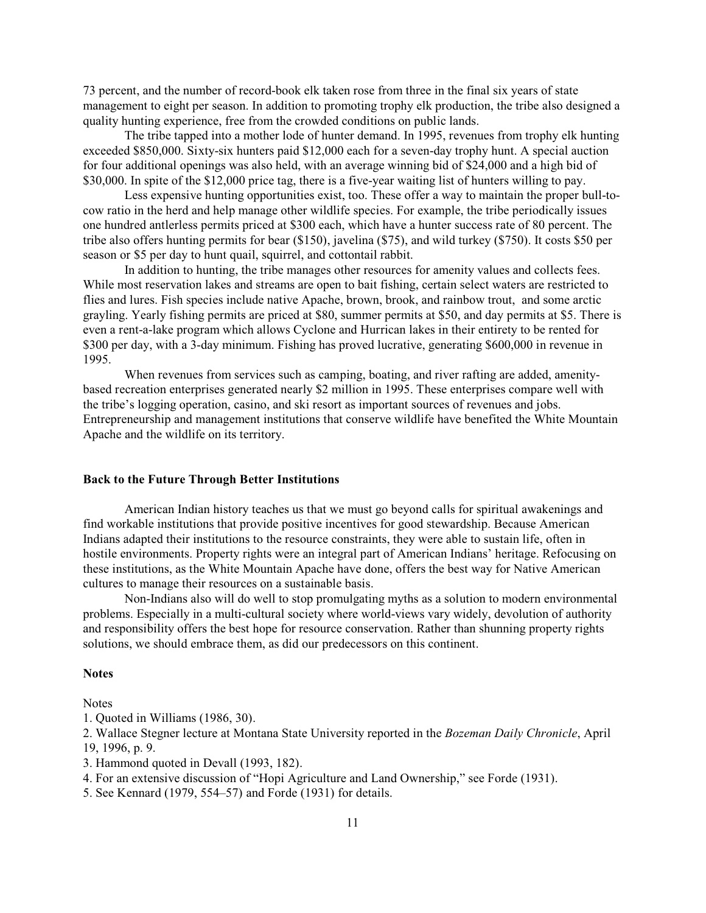73 percent, and the number of record-book elk taken rose from three in the final six years of state management to eight per season. In addition to promoting trophy elk production, the tribe also designed a quality hunting experience, free from the crowded conditions on public lands.

 The tribe tapped into a mother lode of hunter demand. In 1995, revenues from trophy elk hunting exceeded \$850,000. Sixty-six hunters paid \$12,000 each for a seven-day trophy hunt. A special auction for four additional openings was also held, with an average winning bid of \$24,000 and a high bid of \$30,000. In spite of the \$12,000 price tag, there is a five-year waiting list of hunters willing to pay.

Less expensive hunting opportunities exist, too. These offer a way to maintain the proper bull-tocow ratio in the herd and help manage other wildlife species. For example, the tribe periodically issues one hundred antlerless permits priced at \$300 each, which have a hunter success rate of 80 percent. The tribe also offers hunting permits for bear (\$150), javelina (\$75), and wild turkey (\$750). It costs \$50 per season or \$5 per day to hunt quail, squirrel, and cottontail rabbit.

In addition to hunting, the tribe manages other resources for amenity values and collects fees. While most reservation lakes and streams are open to bait fishing, certain select waters are restricted to flies and lures. Fish species include native Apache, brown, brook, and rainbow trout, and some arctic grayling. Yearly fishing permits are priced at \$80, summer permits at \$50, and day permits at \$5. There is even a rent-a-lake program which allows Cyclone and Hurrican lakes in their entirety to be rented for \$300 per day, with a 3-day minimum. Fishing has proved lucrative, generating \$600,000 in revenue in 1995.

When revenues from services such as camping, boating, and river rafting are added, amenitybased recreation enterprises generated nearly \$2 million in 1995. These enterprises compare well with the tribe's logging operation, casino, and ski resort as important sources of revenues and jobs. Entrepreneurship and management institutions that conserve wildlife have benefited the White Mountain Apache and the wildlife on its territory.

### **Back to the Future Through Better Institutions**

American Indian history teaches us that we must go beyond calls for spiritual awakenings and find workable institutions that provide positive incentives for good stewardship. Because American Indians adapted their institutions to the resource constraints, they were able to sustain life, often in hostile environments. Property rights were an integral part of American Indians' heritage. Refocusing on these institutions, as the White Mountain Apache have done, offers the best way for Native American cultures to manage their resources on a sustainable basis.

Non-Indians also will do well to stop promulgating myths as a solution to modern environmental problems. Especially in a multi-cultural society where world-views vary widely, devolution of authority and responsibility offers the best hope for resource conservation. Rather than shunning property rights solutions, we should embrace them, as did our predecessors on this continent.

## **Notes**

**Notes** 

1. Quoted in Williams (1986, 30).

2. Wallace Stegner lecture at Montana State University reported in the *Bozeman Daily Chronicle*, April 19, 1996, p. 9.

- 3. Hammond quoted in Devall (1993, 182).
- 4. For an extensive discussion of "Hopi Agriculture and Land Ownership," see Forde (1931).
- 5. See Kennard (1979, 554–57) and Forde (1931) for details.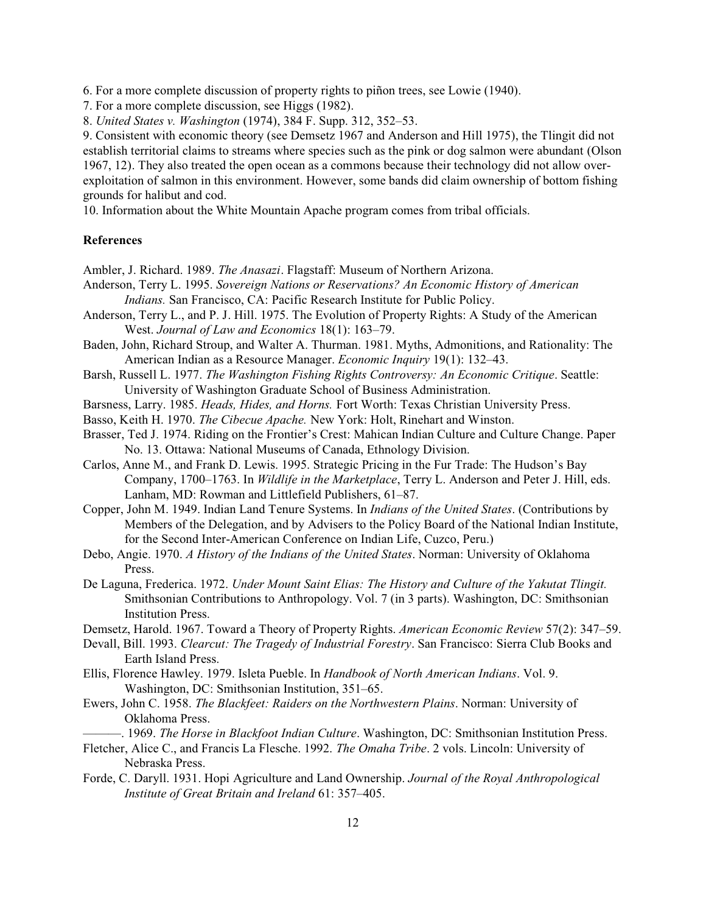6. For a more complete discussion of property rights to piñon trees, see Lowie (1940).

7. For a more complete discussion, see Higgs (1982).

8. *United States v. Washington* (1974), 384 F. Supp. 312, 352–53.

9. Consistent with economic theory (see Demsetz 1967 and Anderson and Hill 1975), the Tlingit did not establish territorial claims to streams where species such as the pink or dog salmon were abundant (Olson 1967, 12). They also treated the open ocean as a commons because their technology did not allow overexploitation of salmon in this environment. However, some bands did claim ownership of bottom fishing grounds for halibut and cod.

10. Information about the White Mountain Apache program comes from tribal officials.

# **References**

Ambler, J. Richard. 1989. *The Anasazi*. Flagstaff: Museum of Northern Arizona.

- Anderson, Terry L. 1995. *Sovereign Nations or Reservations? An Economic History of American Indians.* San Francisco, CA: Pacific Research Institute for Public Policy.
- Anderson, Terry L., and P. J. Hill. 1975. The Evolution of Property Rights: A Study of the American West. *Journal of Law and Economics* 18(1): 163–79.
- Baden, John, Richard Stroup, and Walter A. Thurman. 1981. Myths, Admonitions, and Rationality: The American Indian as a Resource Manager. *Economic Inquiry* 19(1): 132–43.
- Barsh, Russell L. 1977. *The Washington Fishing Rights Controversy: An Economic Critique*. Seattle: University of Washington Graduate School of Business Administration.
- Barsness, Larry. 1985. *Heads, Hides, and Horns.* Fort Worth: Texas Christian University Press.

Basso, Keith H. 1970. *The Cibecue Apache.* New York: Holt, Rinehart and Winston.

- Brasser, Ted J. 1974. Riding on the Frontier's Crest: Mahican Indian Culture and Culture Change. Paper No. 13. Ottawa: National Museums of Canada, Ethnology Division.
- Carlos, Anne M., and Frank D. Lewis. 1995. Strategic Pricing in the Fur Trade: The Hudson's Bay Company, 1700–1763. In *Wildlife in the Marketplace*, Terry L. Anderson and Peter J. Hill, eds. Lanham, MD: Rowman and Littlefield Publishers, 61–87.
- Copper, John M. 1949. Indian Land Tenure Systems. In *Indians of the United States*. (Contributions by Members of the Delegation, and by Advisers to the Policy Board of the National Indian Institute, for the Second Inter-American Conference on Indian Life, Cuzco, Peru.)
- Debo, Angie. 1970. *A History of the Indians of the United States*. Norman: University of Oklahoma Press.
- De Laguna, Frederica. 1972. *Under Mount Saint Elias: The History and Culture of the Yakutat Tlingit.* Smithsonian Contributions to Anthropology. Vol. 7 (in 3 parts). Washington, DC: Smithsonian Institution Press.
- Demsetz, Harold. 1967. Toward a Theory of Property Rights. *American Economic Review* 57(2): 347–59.
- Devall, Bill. 1993. *Clearcut: The Tragedy of Industrial Forestry*. San Francisco: Sierra Club Books and Earth Island Press.
- Ellis, Florence Hawley. 1979. Isleta Pueble. In *Handbook of North American Indians*. Vol. 9. Washington, DC: Smithsonian Institution, 351–65.
- Ewers, John C. 1958. *The Blackfeet: Raiders on the Northwestern Plains*. Norman: University of Oklahoma Press.

———. 1969. *The Horse in Blackfoot Indian Culture*. Washington, DC: Smithsonian Institution Press.

- Fletcher, Alice C., and Francis La Flesche. 1992. *The Omaha Tribe*. 2 vols. Lincoln: University of Nebraska Press.
- Forde, C. Daryll. 1931. Hopi Agriculture and Land Ownership. *Journal of the Royal Anthropological Institute of Great Britain and Ireland* 61: 357–405.